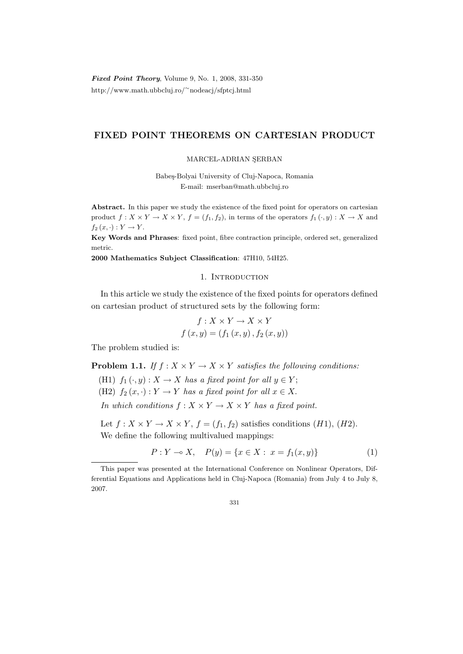# FIXED POINT THEOREMS ON CARTESIAN PRODUCT

# MARCEL-ADRIAN SERBAN

Babe¸s-Bolyai University of Cluj-Napoca, Romania E-mail: mserban@math.ubbcluj.ro

Abstract. In this paper we study the existence of the fixed point for operators on cartesian product  $f: X \times Y \to X \times Y$ ,  $f = (f_1, f_2)$ , in terms of the operators  $f_1(\cdot, y): X \to X$  and  $f_2(x, \cdot): Y \to Y$ .

Key Words and Phrases: fixed point, fibre contraction principle, ordered set, generalized metric.

2000 Mathematics Subject Classification: 47H10, 54H25.

# 1. INTRODUCTION

In this article we study the existence of the fixed points for operators defined on cartesian product of structured sets by the following form:

$$
f: X \times Y \to X \times Y
$$

$$
f(x, y) = (f_1(x, y), f_2(x, y))
$$

The problem studied is:

**Problem 1.1.** If  $f : X \times Y \to X \times Y$  satisfies the following conditions:

(H1)  $f_1(\cdot, y) : X \to X$  has a fixed point for all  $y \in Y$ ;

(H2)  $f_2(x, \cdot): Y \to Y$  has a fixed point for all  $x \in X$ .

In which conditions  $f: X \times Y \to X \times Y$  has a fixed point.

Let  $f: X \times Y \to X \times Y$ ,  $f = (f_1, f_2)$  satisfies conditions  $(H1)$ ,  $(H2)$ . We define the following multivalued mappings:

$$
P: Y \multimap X, \quad P(y) = \{x \in X: \ x = f_1(x, y)\}\tag{1}
$$

This paper was presented at the International Conference on Nonlinear Operators, Differential Equations and Applications held in Cluj-Napoca (Romania) from July 4 to July 8, 2007.

<sup>331</sup>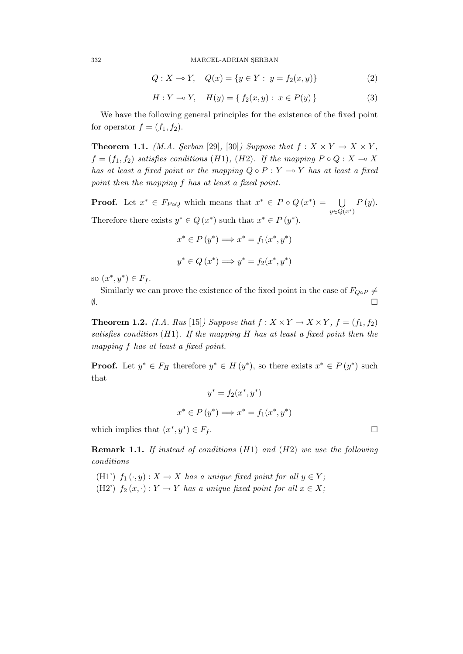332 MARCEL-ADRIAN ŞERBAN

$$
Q: X \to Y, \quad Q(x) = \{ y \in Y : y = f_2(x, y) \}
$$
 (2)

$$
H: Y \to Y, \quad H(y) = \{ f_2(x, y) : x \in P(y) \}
$$
 (3)

We have the following general principles for the existence of the fixed point for operator  $f = (f_1, f_2)$ .

**Theorem 1.1.** (M.A. Serban [29], [30]) Suppose that  $f: X \times Y \to X \times Y$ ,  $f = (f_1, f_2)$  satisfies conditions (H1), (H2). If the mapping  $P \circ Q : X \to X$ has at least a fixed point or the mapping  $Q \circ P : Y \to Y$  has at least a fixed point then the mapping f has at least a fixed point.

**Proof.** Let  $x^* \in F_{P \circ Q}$  which means that  $x^* \in P \circ Q(x^*) = \bigcup$  $y \in Q(x^*)$  $P(y).$ Therefore there exists  $y^* \in Q(x^*)$  such that  $x^* \in P(y^*)$ .

$$
x^* \in P(y^*) \Longrightarrow x^* = f_1(x^*, y^*)
$$
  

$$
y^* \in Q(x^*) \Longrightarrow y^* = f_2(x^*, y^*)
$$

so  $(x^*, y^*) \in F_f$ .

Similarly we can prove the existence of the fixed point in the case of  $F_{Q \circ P} \neq$  $\emptyset$ .

**Theorem 1.2.** (I.A. Rus [15]) Suppose that  $f: X \times Y \rightarrow X \times Y$ ,  $f = (f_1, f_2)$ satisfies condition  $(H1)$ . If the mapping H has at least a fixed point then the mapping f has at least a fixed point.

**Proof.** Let  $y^* \in F_H$  therefore  $y^* \in H(y^*)$ , so there exists  $x^* \in P(y^*)$  such that

$$
y^* = f_2(x^*, y^*)
$$

$$
x^* \in P(y^*) \Longrightarrow x^* = f_1(x^*, y^*)
$$

which implies that  $(x^*, y^*) \in F_f$ .

**Remark 1.1.** If instead of conditions  $(H1)$  and  $(H2)$  we use the following conditions

(H1')  $f_1(\cdot, y) : X \to X$  has a unique fixed point for all  $y \in Y$ ; (H2')  $f_2(x, \cdot) : Y \to Y$  has a unique fixed point for all  $x \in X$ ;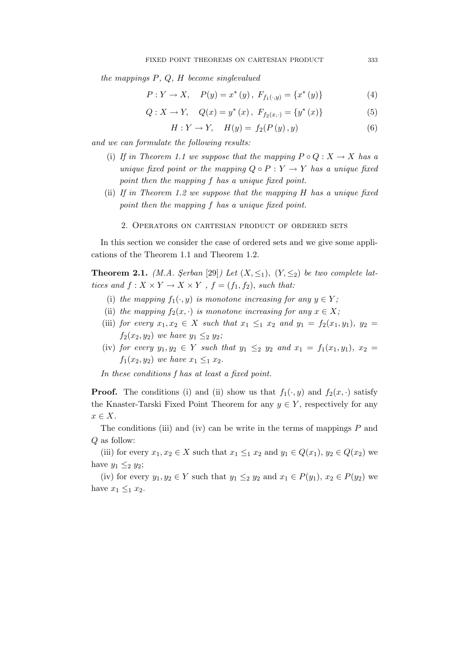the mappings P, Q, H become singlevalued

$$
P: Y \to X, \quad P(y) = x^*(y), \ F_{f_1(\cdot, y)} = \{x^*(y)\}
$$
 (4)

$$
Q: X \to Y, \quad Q(x) = y^*(x), \ F_{f_2(x, \cdot)} = \{y^*(x)\}
$$
 (5)

$$
H: Y \to Y, \quad H(y) = f_2(P(y), y)
$$
 (6)

and we can formulate the following results:

- (i) If in Theorem 1.1 we suppose that the mapping  $P \circ Q : X \to X$  has a unique fixed point or the mapping  $Q \circ P : Y \to Y$  has a unique fixed point then the mapping f has a unique fixed point.
- (ii) If in Theorem 1.2 we suppose that the mapping H has a unique fixed point then the mapping f has a unique fixed point.
	- 2. Operators on cartesian product of ordered sets

In this section we consider the case of ordered sets and we give some applications of the Theorem 1.1 and Theorem 1.2.

**Theorem 2.1.** (M.A. Serban [29]) Let  $(X, \leq_1)$ ,  $(Y, \leq_2)$  be two complete lattices and  $f: X \times Y \to X \times Y$ ,  $f = (f_1, f_2)$ , such that:

- (i) the mapping  $f_1(\cdot, y)$  is monotone increasing for any  $y \in Y$ ;
- (ii) the mapping  $f_2(x, \cdot)$  is monotone increasing for any  $x \in X$ ;
- (iii) for every  $x_1, x_2 \in X$  such that  $x_1 \leq_1 x_2$  and  $y_1 = f_2(x_1, y_1), y_2 =$  $f_2(x_2, y_2)$  we have  $y_1 \leq_2 y_2$ ;
- (iv) for every  $y_1, y_2 \in Y$  such that  $y_1 \leq_2 y_2$  and  $x_1 = f_1(x_1, y_1), x_2 =$  $f_1(x_2, y_2)$  we have  $x_1 \leq_1 x_2$ .

In these conditions f has at least a fixed point.

**Proof.** The conditions (i) and (ii) show us that  $f_1(\cdot, y)$  and  $f_2(x, \cdot)$  satisfy the Knaster-Tarski Fixed Point Theorem for any  $y \in Y$ , respectively for any  $x \in X$ .

The conditions (iii) and (iv) can be write in the terms of mappings  $P$  and Q as follow:

(iii) for every  $x_1, x_2 \in X$  such that  $x_1 \leq_1 x_2$  and  $y_1 \in Q(x_1), y_2 \in Q(x_2)$  we have  $y_1 \leq_2 y_2$ ;

(iv) for every  $y_1, y_2 \in Y$  such that  $y_1 \leq_2 y_2$  and  $x_1 \in P(y_1)$ ,  $x_2 \in P(y_2)$  we have  $x_1 \leq_1 x_2$ .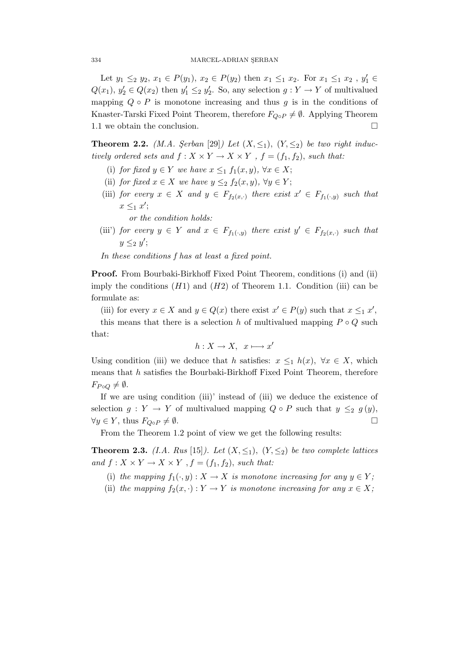Let  $y_1 \leq_2 y_2, x_1 \in P(y_1), x_2 \in P(y_2)$  then  $x_1 \leq_1 x_2$ . For  $x_1 \leq_1 x_2$ ,  $y'_1 \in$  $Q(x_1), y_2' \in Q(x_2)$  then  $y_1' \leq_2 y_2'$ . So, any selection  $g: Y \to Y$  of multivalued mapping  $Q \circ P$  is monotone increasing and thus g is in the conditions of Knaster-Tarski Fixed Point Theorem, therefore  $F_{Q \circ P} \neq \emptyset$ . Applying Theorem 1.1 we obtain the conclusion.

**Theorem 2.2.** (M.A. Serban [29]) Let  $(X, \leq_1)$ ,  $(Y, \leq_2)$  be two right inductively ordered sets and  $f: X \times Y \to X \times Y$ ,  $f = (f_1, f_2)$ , such that:

- (i) for fixed  $y \in Y$  we have  $x \leq_1 f_1(x, y)$ ,  $\forall x \in X$ ;
- (ii) for fixed  $x \in X$  we have  $y \leq_2 f_2(x, y)$ ,  $\forall y \in Y$ ;
- (iii) for every  $x \in X$  and  $y \in F_{f_2(x, \cdot)}$  there exist  $x' \in F_{f_1(\cdot, y)}$  such that  $x \leq_1 x'$ ;
	- or the condition holds:
- (iii') for every  $y \in Y$  and  $x \in F_{f_1(x,y)}$  there exist  $y' \in F_{f_2(x,y)}$  such that  $y \leq_2 y'$ ;
- In these conditions f has at least a fixed point.

Proof. From Bourbaki-Birkhoff Fixed Point Theorem, conditions (i) and (ii) imply the conditions  $(H1)$  and  $(H2)$  of Theorem 1.1. Condition (iii) can be formulate as:

(iii) for every  $x \in X$  and  $y \in Q(x)$  there exist  $x' \in P(y)$  such that  $x \leq_1 x'$ ,

this means that there is a selection h of multivalued mapping  $P \circ Q$  such that:

$$
h: X \to X, \ \ x \longmapsto x'
$$

Using condition (iii) we deduce that h satisfies:  $x \leq_1 h(x)$ ,  $\forall x \in X$ , which means that  $h$  satisfies the Bourbaki-Birkhoff Fixed Point Theorem, therefore  $F_{P \circ Q} \neq \emptyset$ .

If we are using condition (iii)' instead of (iii) we deduce the existence of selection  $g: Y \to Y$  of multivalued mapping  $Q \circ P$  such that  $y \leq_2 g(y)$ ,  $\forall y \in Y$ , thus  $F_{Q \circ P} \neq \emptyset$ .

From the Theorem 1.2 point of view we get the following results:

**Theorem 2.3.** (I.A. Rus [15]). Let  $(X, \leq_1)$ ,  $(Y, \leq_2)$  be two complete lattices and  $f: X \times Y \to X \times Y$ ,  $f = (f_1, f_2)$ , such that:

- (i) the mapping  $f_1(\cdot, y) : X \to X$  is monotone increasing for any  $y \in Y$ ;
- (ii) the mapping  $f_2(x, \cdot) : Y \to Y$  is monotone increasing for any  $x \in X$ ;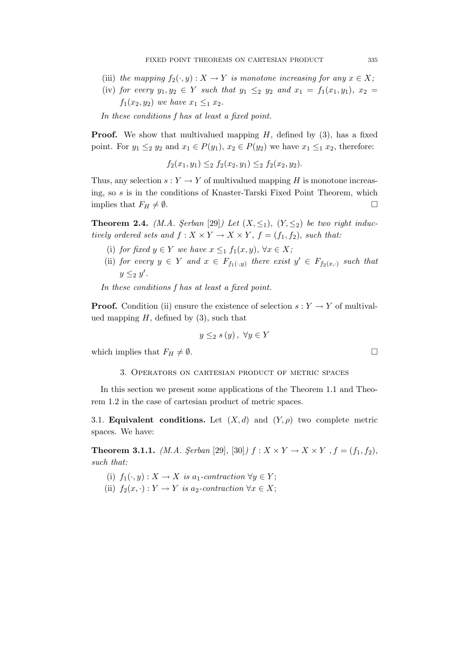- (iii) the mapping  $f_2(\cdot, y) : X \to Y$  is monotone increasing for any  $x \in X$ ;
- (iv) for every  $y_1, y_2 \in Y$  such that  $y_1 \leq_2 y_2$  and  $x_1 = f_1(x_1, y_1), x_2 =$  $f_1(x_2, y_2)$  we have  $x_1 \leq_1 x_2$ .

In these conditions f has at least a fixed point.

**Proof.** We show that multivalued mapping  $H$ , defined by  $(3)$ , has a fixed point. For  $y_1 \leq_2 y_2$  and  $x_1 \in P(y_1)$ ,  $x_2 \in P(y_2)$  we have  $x_1 \leq_1 x_2$ , therefore:

 $f_2(x_1, y_1) \leq_2 f_2(x_2, y_1) \leq_2 f_2(x_2, y_2).$ 

Thus, any selection  $s: Y \to Y$  of multivalued mapping H is monotone increasing, so s is in the conditions of Knaster-Tarski Fixed Point Theorem, which implies that  $F_H \neq \emptyset$ .

**Theorem 2.4.** (M.A. Serban [29]) Let  $(X, \leq_1)$ ,  $(Y, \leq_2)$  be two right inductively ordered sets and  $f: X \times Y \to X \times Y$ ,  $f = (f_1, f_2)$ , such that:

- (i) for fixed  $y \in Y$  we have  $x \leq_1 f_1(x, y)$ ,  $\forall x \in X$ ;
- (ii) for every  $y \in Y$  and  $x \in F_{f_1(\cdot,y)}$  there exist  $y' \in F_{f_2(x,\cdot)}$  such that  $y \leq_2 y'$ .

In these conditions f has at least a fixed point.

**Proof.** Condition (ii) ensure the existence of selection  $s: Y \to Y$  of multivalued mapping  $H$ , defined by  $(3)$ , such that

$$
y \leq_2 s(y), \ \forall y \in Y
$$

which implies that  $F_H \neq \emptyset$ .

### 3. Operators on cartesian product of metric spaces

In this section we present some applications of the Theorem 1.1 and Theorem 1.2 in the case of cartesian product of metric spaces.

3.1. **Equivalent conditions.** Let  $(X, d)$  and  $(Y, \rho)$  two complete metric spaces. We have:

**Theorem 3.1.1.** (*M.A. Şerban* [29], [30])  $f : X \times Y \to X \times Y$ ,  $f = (f_1, f_2)$ , such that:

- (i)  $f_1(\cdot, y) : X \to X$  is a<sub>1</sub>-contraction  $\forall y \in Y$ ;
- (ii)  $f_2(x, \cdot) : Y \to Y$  is a<sub>2</sub>-contraction  $\forall x \in X;$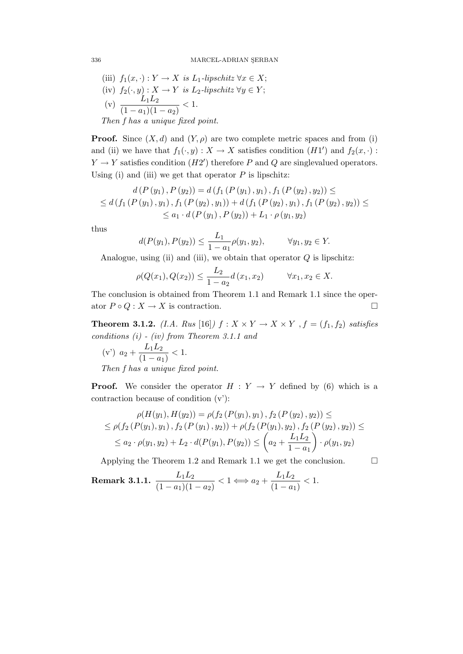(iii) 
$$
f_1(x, \cdot) : Y \to X
$$
 is  $L_1$ -lipschitz  $\forall x \in X$ ;  
\n(iv)  $f_2(\cdot, y) : X \to Y$  is  $L_2$ -lipschitz  $\forall y \in Y$ ;  
\n(v)  $\frac{L_1L_2}{(1-a_1)(1-a_2)} < 1$ .  
\nThen f has a unique fixed point.

**Proof.** Since  $(X, d)$  and  $(Y, \rho)$  are two complete metric spaces and from (i) and (ii) we have that  $f_1(\cdot, y): X \to X$  satisfies condition  $(H1')$  and  $f_2(x, \cdot):$  $Y \to Y$  satisfies condition  $(H2')$  therefore P and Q are singlevalued operators. Using (i) and (iii) we get that operator  $P$  is lipschitz:

$$
d(P(y_1), P(y_2)) = d(f_1(P(y_1), y_1), f_1(P(y_2), y_2)) \le
$$
  
\n
$$
\le d(f_1(P(y_1), y_1), f_1(P(y_2), y_1)) + d(f_1(P(y_2), y_1), f_1(P(y_2), y_2)) \le
$$
  
\n
$$
\le a_1 \cdot d(P(y_1), P(y_2)) + L_1 \cdot \rho(y_1, y_2)
$$

thus

$$
d(P(y_1), P(y_2)) \le \frac{L_1}{1 - a_1} \rho(y_1, y_2), \qquad \forall y_1, y_2 \in Y.
$$

Analogue, using (ii) and (iii), we obtain that operator  $Q$  is lipschitz:

$$
\rho(Q(x_1), Q(x_2)) \le \frac{L_2}{1 - a_2} d(x_1, x_2) \qquad \forall x_1, x_2 \in X.
$$

The conclusion is obtained from Theorem 1.1 and Remark 1.1 since the operator  $P \circ Q : X \to X$  is contraction.

**Theorem 3.1.2.** (I.A. Rus [16])  $f: X \times Y \rightarrow X \times Y$ ,  $f = (f_1, f_2)$  satisfies conditions (i) - (iv) from Theorem 3.1.1 and

(v') 
$$
a_2 + \frac{L_1 L_2}{(1 - a_1)} < 1
$$
.  
Then f has a units for

Then f has a unique fixed point.

**Proof.** We consider the operator  $H : Y \to Y$  defined by (6) which is a contraction because of condition (v'):

$$
\rho(H(y_1), H(y_2)) = \rho(f_2(P(y_1), y_1), f_2(P(y_2), y_2)) \le
$$
  
\n
$$
\leq \rho(f_2(P(y_1), y_1), f_2(P(y_1), y_2)) + \rho(f_2(P(y_1), y_2), f_2(P(y_2), y_2)) \le
$$
  
\n
$$
\leq a_2 \cdot \rho(y_1, y_2) + L_2 \cdot d(P(y_1), P(y_2)) \leq \left(a_2 + \frac{L_1 L_2}{1 - a_1}\right) \cdot \rho(y_1, y_2)
$$

Applying the Theorem 1.2 and Remark 1.1 we get the conclusion.  $\Box$ 

**Remark 3.1.1.** 
$$
\frac{L_1 L_2}{(1-a_1)(1-a_2)} < 1 \Longleftrightarrow a_2 + \frac{L_1 L_2}{(1-a_1)} < 1.
$$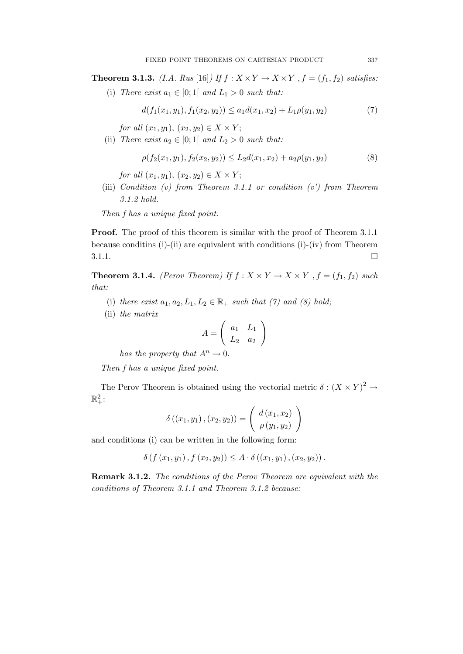**Theorem 3.1.3.** (I.A. Rus [16]) If  $f : X \times Y \to X \times Y$ ,  $f = (f_1, f_2)$  satisfies:

(i) There exist  $a_1 \in [0;1]$  and  $L_1 > 0$  such that:

$$
d(f_1(x_1, y_1), f_1(x_2, y_2)) \le a_1 d(x_1, x_2) + L_1 \rho(y_1, y_2)
$$
\n<sup>(7)</sup>

for all  $(x_1, y_1), (x_2, y_2) \in X \times Y;$ 

(ii) There exist  $a_2 \in [0;1]$  and  $L_2 > 0$  such that:

$$
\rho(f_2(x_1, y_1), f_2(x_2, y_2)) \le L_2 d(x_1, x_2) + a_2 \rho(y_1, y_2)
$$
\n(8)

for all  $(x_1, y_1), (x_2, y_2) \in X \times Y$ ;

(iii) Condition (v) from Theorem 3.1.1 or condition  $(v')$  from Theorem 3.1.2 hold.

Then f has a unique fixed point.

Proof. The proof of this theorem is similar with the proof of Theorem 3.1.1 because conditins (i)-(ii) are equivalent with conditions (i)-(iv) from Theorem  $3.1.1.$ 

**Theorem 3.1.4.** (Perov Theorem) If  $f : X \times Y \to X \times Y$ ,  $f = (f_1, f_2)$  such that:

- (i) there exist  $a_1, a_2, L_1, L_2 \in \mathbb{R}_+$  such that (7) and (8) hold;
- (ii) the matrix

$$
A = \left(\begin{array}{cc} a_1 & L_1 \\ L_2 & a_2 \end{array}\right)
$$

has the property that  $A^n \to 0$ .

Then f has a unique fixed point.

The Perov Theorem is obtained using the vectorial metric  $\delta : (X \times Y)^2 \rightarrow$  $\mathbb{R}^2_+$ :

$$
\delta ((x_1, y_1), (x_2, y_2)) = \begin{pmatrix} d(x_1, x_2) \\ \rho(y_1, y_2) \end{pmatrix}
$$

and conditions (i) can be written in the following form:

 $\delta$  (f  $(x_1, y_1)$ ,  $f(x_2, y_2)$ )  $\leq A \cdot \delta((x_1, y_1), (x_2, y_2))$ .

Remark 3.1.2. The conditions of the Perov Theorem are equivalent with the conditions of Theorem 3.1.1 and Theorem 3.1.2 because: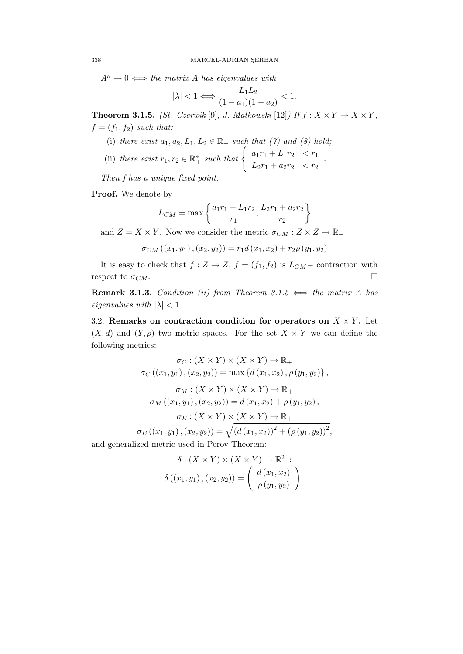$A^n \to 0 \iff$  the matrix A has eigenvalues with

$$
|\lambda| < 1 \Longleftrightarrow \frac{L_1 L_2}{(1 - a_1)(1 - a_2)} < 1.
$$

**Theorem 3.1.5.** (St. Czerwik [9], J. Matkowski [12]) If  $f: X \times Y \to X \times Y$ ,  $f = (f_1, f_2)$  such that:

- (i) there exist  $a_1, a_2, L_1, L_2 \in \mathbb{R}_+$  such that (7) and (8) hold;
- (ii) there exist  $r_1, r_2 \in \mathbb{R}^*_+$  such that  $\begin{cases} a_1r_1 + L_1r_2 < r_1 \\ L_1r_1 + L_2r_2 < r_2 \end{cases}$  $L_2r_1 + a_2r_2 < r_2$ .

Then f has a unique fixed point.

Proof. We denote by

$$
L_{CM} = \max\left\{\frac{a_1r_1 + L_1r_2}{r_1}, \frac{L_2r_1 + a_2r_2}{r_2}\right\}
$$

and  $Z = X \times Y$ . Now we consider the metric  $\sigma_{CM} : Z \times Z \to \mathbb{R}_+$ 

$$
\sigma_{CM}((x_1, y_1), (x_2, y_2)) = r_1 d(x_1, x_2) + r_2 \rho(y_1, y_2)
$$

It is easy to check that  $f: Z \to Z$ ,  $f = (f_1, f_2)$  is  $L_{CM}$  - contraction with respect to  $\sigma_{CM}$ .

**Remark 3.1.3.** Condition (ii) from Theorem 3.1.5  $\iff$  the matrix A has eigenvalues with  $|\lambda| < 1$ .

3.2. Remarks on contraction condition for operators on  $X \times Y$ . Let  $(X, d)$  and  $(Y, \rho)$  two metric spaces. For the set  $X \times Y$  we can define the following metrics:

$$
\sigma_C : (X \times Y) \times (X \times Y) \to \mathbb{R}_+
$$
  
\n
$$
\sigma_C ((x_1, y_1), (x_2, y_2)) = \max \{d(x_1, x_2), \rho(y_1, y_2)\},
$$
  
\n
$$
\sigma_M : (X \times Y) \times (X \times Y) \to \mathbb{R}_+
$$
  
\n
$$
\sigma_M ((x_1, y_1), (x_2, y_2)) = d(x_1, x_2) + \rho(y_1, y_2),
$$
  
\n
$$
\sigma_E : (X \times Y) \times (X \times Y) \to \mathbb{R}_+
$$
  
\n
$$
\sigma_E ((x_1, y_1), (x_2, y_2)) = \sqrt{(d(x_1, x_2))^2 + (\rho(y_1, y_2))^2},
$$

and generalized metric used in Perov Theorem:

$$
\delta : (X \times Y) \times (X \times Y) \to \mathbb{R}^2_+ :
$$

$$
\delta ((x_1, y_1), (x_2, y_2)) = \begin{pmatrix} d(x_1, x_2) \\ \rho(y_1, y_2) \end{pmatrix}.
$$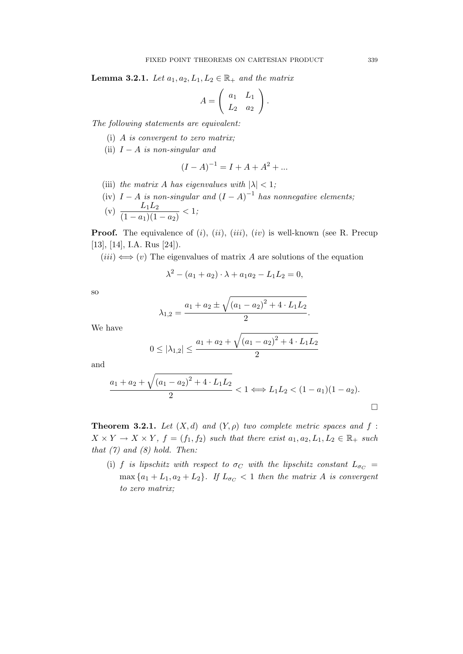**Lemma 3.2.1.** Let  $a_1, a_2, L_1, L_2 \in \mathbb{R}_+$  and the matrix

$$
A = \left( \begin{array}{cc} a_1 & L_1 \\ L_2 & a_2 \end{array} \right).
$$

The following statements are equivalent:

- (i) A is convergent to zero matrix;
- (ii)  $I A$  is non-singular and

$$
(I - A)^{-1} = I + A + A^2 + \dots
$$

- (iii) the matrix A has eigenvalues with  $|\lambda| < 1$ ;
- (iv)  $I A$  is non-singular and  $(I A)^{-1}$  has nonnegative elements;

(v) 
$$
\frac{L_1 L_2}{(1 - a_1)(1 - a_2)} < 1;
$$

**Proof.** The equivalence of  $(i)$ ,  $(ii)$ ,  $(iii)$ ,  $(iv)$  is well-known (see R. Precup [13], [14], I.A. Rus [24]).

 $(iii) \Leftrightarrow (v)$  The eigenvalues of matrix A are solutions of the equation

$$
\lambda^2 - (a_1 + a_2) \cdot \lambda + a_1 a_2 - L_1 L_2 = 0,
$$

so

$$
\lambda_{1,2} = \frac{a_1 + a_2 \pm \sqrt{(a_1 - a_2)^2 + 4 \cdot L_1 L_2}}{2}.
$$

We have

$$
0 \le |\lambda_{1,2}| \le \frac{a_1 + a_2 + \sqrt{(a_1 - a_2)^2 + 4 \cdot L_1 L_2}}{2}
$$

and

$$
\frac{a_1 + a_2 + \sqrt{(a_1 - a_2)^2 + 4 \cdot L_1 L_2}}{2} < 1 \Longleftrightarrow L_1 L_2 < (1 - a_1)(1 - a_2).
$$

**Theorem 3.2.1.** Let  $(X,d)$  and  $(Y,\rho)$  two complete metric spaces and f:  $X \times Y \to X \times Y$ ,  $f = (f_1, f_2)$  such that there exist  $a_1, a_2, L_1, L_2 \in \mathbb{R}_+$  such that  $(7)$  and  $(8)$  hold. Then:

(i) f is lipschitz with respect to  $\sigma_C$  with the lipschitz constant  $L_{\sigma_C}$  =  $\max\{a_1+L_1,a_2+L_2\}$ . If  $L_{\sigma_C}<1$  then the matrix A is convergent to zero matrix;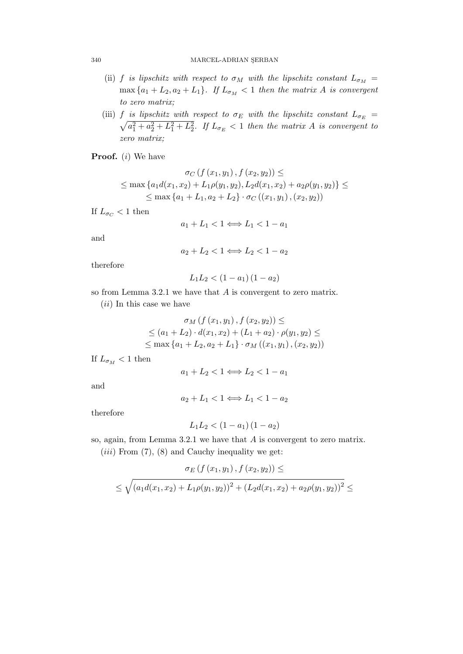- (ii) f is lipschitz with respect to  $\sigma_M$  with the lipschitz constant  $L_{\sigma_M}$  =  $\max\{a_1+L_2,a_2+L_1\}$ . If  $L_{\sigma_M}<1$  then the matrix A is convergent to zero matrix;
- (iii) f is lipschitz with respect to  $\sigma_E$  with the lipschitz constant  $L_{\sigma_E}$  =  $\sqrt{a_1^2 + a_2^2 + L_1^2 + L_2^2}$ . If  $L_{\sigma_E} < 1$  then the matrix A is convergent to zero matrix;

**Proof.** (*i*) We have

$$
\sigma_C(f(x_1, y_1), f(x_2, y_2)) \le
$$
  
\n
$$
\le \max \{a_1 d(x_1, x_2) + L_1 \rho(y_1, y_2), L_2 d(x_1, x_2) + a_2 \rho(y_1, y_2)\} \le
$$
  
\n
$$
\le \max \{a_1 + L_1, a_2 + L_2\} \cdot \sigma_C((x_1, y_1), (x_2, y_2))
$$

If  $L_{\sigma}$  < 1 then

$$
a_1 + L_1 < 1 \Longleftrightarrow L_1 < 1 - a_1
$$

and

$$
a_2 + L_2 < 1 \Longleftrightarrow L_2 < 1 - a_2
$$

therefore

$$
L_1L_2 < (1 - a_1) (1 - a_2)
$$

so from Lemma 3.2.1 we have that A is convergent to zero matrix.

 $(ii)$  In this case we have

$$
\sigma_M(f(x_1, y_1), f(x_2, y_2)) \le
$$
  
\n
$$
\le (a_1 + L_2) \cdot d(x_1, x_2) + (L_1 + a_2) \cdot \rho(y_1, y_2) \le
$$
  
\n
$$
\le \max \{ a_1 + L_2, a_2 + L_1 \} \cdot \sigma_M((x_1, y_1), (x_2, y_2))
$$

If  $L_{\sigma_M}$  < 1 then

$$
a_1 + L_2 < 1 \Longleftrightarrow L_2 < 1 - a_1
$$

and

 $a_2 + L_1 < 1 \Longleftrightarrow L_1 < 1 - a_2$ 

therefore

$$
L_1L_2 < (1 - a_1) (1 - a_2)
$$

so, again, from Lemma 3.2.1 we have that A is convergent to zero matrix.

 $(iii)$  From  $(7)$ ,  $(8)$  and Cauchy inequality we get:

$$
\sigma_E(f(x_1, y_1), f(x_2, y_2)) \le
$$
  
 
$$
\le \sqrt{(a_1 d(x_1, x_2) + L_1 \rho(y_1, y_2))^2 + (L_2 d(x_1, x_2) + a_2 \rho(y_1, y_2))^2} \le
$$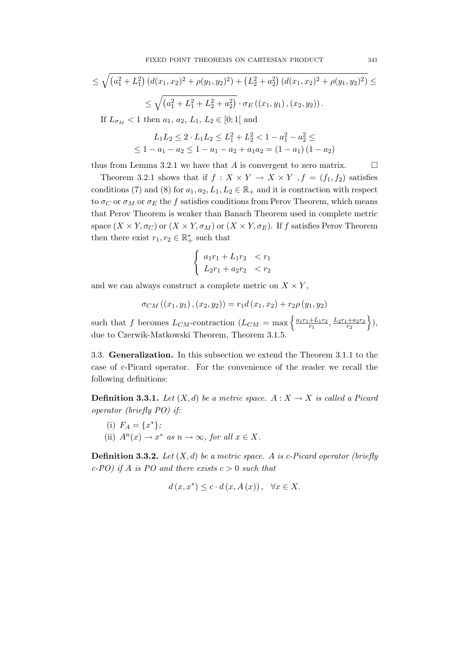$$
\leq \sqrt{(a_1^2 + L_1^2) (d(x_1, x_2)^2 + \rho(y_1, y_2)^2) + (L_2^2 + a_2^2) (d(x_1, x_2)^2 + \rho(y_1, y_2)^2)} \leq
$$
  
 
$$
\leq \sqrt{(a_1^2 + L_1^2 + L_2^2 + a_2^2)} \cdot \sigma_E((x_1, y_1), (x_2, y_2)).
$$
  
If  $L_{\sigma_M} < 1$  then  $a_1, a_2, L_1, L_2 \in [0; 1]$  and

$$
L_1L_2 \le 2 \cdot L_1L_2 \le L_1^2 + L_2^2 < 1 - a_1^2 - a_2^2 \le
$$
  
 
$$
\le 1 - a_1 - a_2 \le 1 - a_1 - a_2 + a_1a_2 = (1 - a_1)(1 - a_2)
$$

thus from Lemma 3.2.1 we have that A is convergent to zero matrix.  $\Box$ 

Theorem 3.2.1 shows that if  $f : X \times Y \to X \times Y$ ,  $f = (f_1, f_2)$  satisfies conditions (7) and (8) for  $a_1, a_2, L_1, L_2 \in \mathbb{R}_+$  and it is contraction with respect to  $\sigma_C$  or  $\sigma_M$  or  $\sigma_E$  the f satisfies conditions from Perov Theorem, which means that Perov Theorem is weaker than Banach Theorem used in complete metric space  $(X \times Y, \sigma_C)$  or  $(X \times Y, \sigma_M)$  or  $(X \times Y, \sigma_E)$ . If f satisfies Perov Theorem then there exist  $r_1, r_2 \in \mathbb{R}_+^*$  such that

$$
\begin{cases} a_1r_1 + L_1r_2 < r_1 \\ L_2r_1 + a_2r_2 < r_2 \end{cases}
$$

and we can always construct a complete metric on  $X \times Y$ ,

$$
\sigma_{CM}((x_1,y_1), (x_2,y_2)) = r_1 d(x_1,x_2) + r_2 \rho(y_1,y_2)
$$

such that f becomes  $L_{CM}$ -contraction  $(L_{CM} = \max \left\{ \frac{a_1r_1 + L_1r_2}{r_1} \right\})$  $\frac{+L_1r_2}{r_1}, \frac{L_2r_1+a_2r_2}{r_2}$  $r<sub>2</sub>$  $\},$ due to Czerwik-Matkowski Theorem, Theorem 3.1.5.

3.3. Generalization. In this subsection we extend the Theorem 3.1.1 to the case of c-Picard operator. For the convenience of the reader we recall the following definitions:

**Definition 3.3.1.** Let  $(X, d)$  be a metric space.  $A : X \to X$  is called a Picard operator (briefly PO) if:

(i)  $F_A = \{x^*\};$ (ii)  $A^n(x) \to x^*$  as  $n \to \infty$ , for all  $x \in X$ .

**Definition 3.3.2.** Let  $(X, d)$  be a metric space. A is c-Picard operator (briefly c-PO) if A is PO and there exists  $c > 0$  such that

$$
d(x, x^*) \le c \cdot d(x, A(x)), \quad \forall x \in X.
$$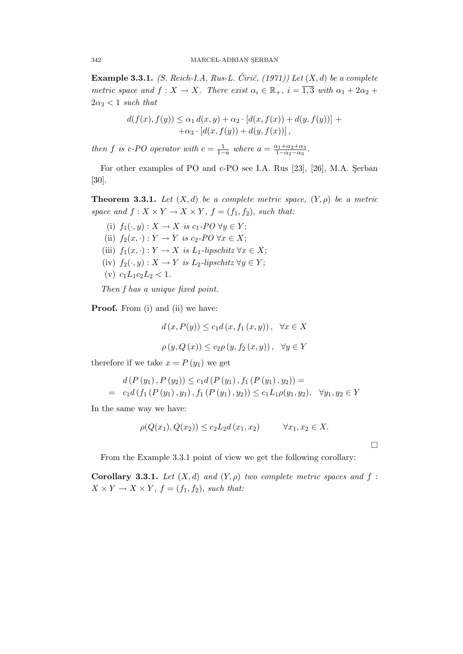Example 3.3.1. (S. Reich-I.A. Rus-L. Ćirić,  $(1971)$ ) Let  $(X, d)$  be a complete metric space and  $f: X \to X$ . There exist  $\alpha_i \in \mathbb{R}_+$ ,  $i = \overline{1,3}$  with  $\alpha_1 + 2\alpha_2 +$  $2\alpha_3 < 1$  such that

$$
d(f(x), f(y)) \leq \alpha_1 d(x, y) + \alpha_2 \cdot [d(x, f(x)) + d(y, f(y))] + + \alpha_3 \cdot [d(x, f(y)) + d(y, f(x))],
$$

then f is c-PO operator with  $c = \frac{1}{1-a}$  where  $a = \frac{\alpha_1 + \alpha_2 + \alpha_3}{1 - \alpha_2 - \alpha_3}$  $\frac{\alpha_1+\alpha_2+\alpha_3}{1-\alpha_2-\alpha_3}.$ 

For other examples of PO and c-PO see I.A. Rus [23], [26], M.A. Serban [30].

**Theorem 3.3.1.** Let  $(X, d)$  be a complete metric space,  $(Y, \rho)$  be a metric space and  $f: X \times Y \to X \times Y$ ,  $f = (f_1, f_2)$ , such that:

(i)  $f_1(\cdot, y) : X \to X$  is  $c_1$ -PO  $\forall y \in Y$ ; (ii)  $f_2(x, \cdot) : Y \to Y$  is  $c_2$ -PO  $\forall x \in X$ ; (iii)  $f_1(x, \cdot) : Y \to X$  is  $L_1$ -lipschitz  $\forall x \in X$ ; (iv)  $f_2(\cdot, y) : X \to Y$  is  $L_2$ -lipschitz  $\forall y \in Y$ ; (v)  $c_1L_1c_2L_2 < 1$ .

Then f has a unique fixed point.

**Proof.** From (i) and (ii) we have:

$$
d(x, P(y)) \le c_1 d(x, f_1(x, y)), \quad \forall x \in X
$$

$$
\rho(y, Q(x)) \le c_2 \rho(y, f_2(x, y)), \quad \forall y \in Y
$$

therefore if we take  $x = P(y_1)$  we get

$$
d(P(y_1), P(y_2)) \le c_1 d(P(y_1), f_1(P(y_1), y_2)) =
$$
  
= c\_1 d(f\_1(P(y\_1), y\_1), f\_1(P(y\_1), y\_2)) \le c\_1 L\_1 \rho(y\_1, y\_2), \quad \forall y\_1, y\_2 \in Y

In the same way we have:

$$
\rho(Q(x_1), Q(x_2)) \le c_2 L_2 d(x_1, x_2) \qquad \forall x_1, x_2 \in X.
$$

From the Example 3.3.1 point of view we get the following corollary:

Corollary 3.3.1. Let  $(X,d)$  and  $(Y,\rho)$  two complete metric spaces and f:  $X \times Y \to X \times Y$ ,  $f = (f_1, f_2)$ , such that: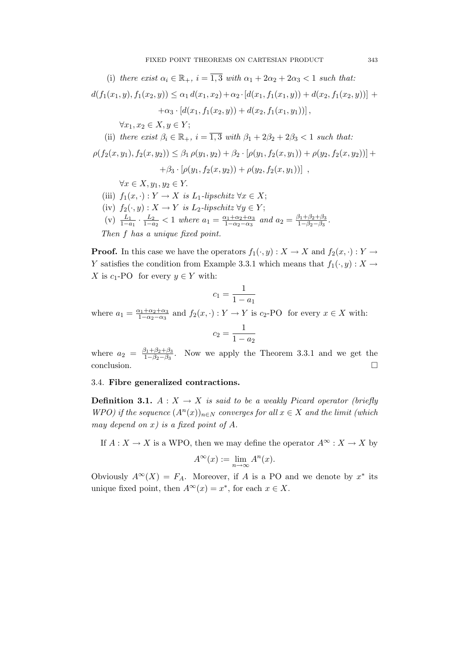(i) there exist  $\alpha_i \in \mathbb{R}_+$ ,  $i = \overline{1,3}$  with  $\alpha_1 + 2\alpha_2 + 2\alpha_3 < 1$  such that:  $d(f_1(x_1,y), f_1(x_2,y)) \leq \alpha_1 d(x_1,x_2) + \alpha_2 d(x_1,f_1(x_1,y)) + d(x_2,f_1(x_2,y)) +$  $+\alpha_3 \cdot [d(x_1, f_1(x_2, y)) + d(x_2, f_1(x_1, y_1))],$  $\forall x_1, x_2 \in X, y \in Y;$ (ii) there exist  $\beta_i \in \mathbb{R}_+$ ,  $i = \overline{1,3}$  with  $\beta_1 + 2\beta_2 + 2\beta_3 < 1$  such that:  $\rho(f_2(x, y_1), f_2(x, y_2)) \leq \beta_1 \rho(y_1, y_2) + \beta_2 \cdot [\rho(y_1, f_2(x, y_1)) + \rho(y_2, f_2(x, y_2))] +$  $+ \beta_3 \cdot [\rho(y_1, f_2(x, y_2)) + \rho(y_2, f_2(x, y_1))]$ ,  $\forall x \in X, y_1, y_2 \in Y.$ (iii)  $f_1(x, \cdot) : Y \to X$  is  $L_1$ -lipschitz  $\forall x \in X;$ (iv)  $f_2(\cdot, y) : X \to Y$  is  $L_2$ -lipschitz  $\forall y \in Y$ ; (v)  $\frac{L_1}{1-a_1} \cdot \frac{L_2}{1-a_1}$  $rac{L_2}{1-a_2}$  < 1 where  $a_1 = \frac{\alpha_1 + \alpha_2 + \alpha_3}{1-\alpha_2-\alpha_3}$  $\frac{\alpha_1 + \alpha_2 + \alpha_3}{1 - \alpha_2 - \alpha_3}$  and  $a_2 = \frac{\beta_1 + \beta_2 + \beta_3}{1 - \beta_2 - \beta_3}$  $\frac{5_1 + \beta_2 + \beta_3}{1 - \beta_2 - \beta_3}.$ Then f has a unique fixed point.

**Proof.** In this case we have the operators  $f_1(\cdot, y) : X \to X$  and  $f_2(x, \cdot) : Y \to Y$ Y satisfies the condition from Example 3.3.1 which means that  $f_1(\cdot, y) : X \to Y$ X is  $c_1$ -PO for every  $y \in Y$  with:

$$
c_1 = \frac{1}{1 - a_1}
$$

where  $a_1 = \frac{\alpha_1 + \alpha_2 + \alpha_3}{1 - \alpha_2 - \alpha_3}$  $\frac{x_1+\alpha_2+\alpha_3}{1-\alpha_2-\alpha_3}$  and  $f_2(x, \cdot): Y \to Y$  is  $c_2$ -PO for every  $x \in X$  with:

$$
c_2 = \frac{1}{1 - a_2}
$$

where  $a_2 = \frac{\beta_1 + \beta_2 + \beta_3}{1 - \beta_2 - \beta_3}$  $\frac{\beta_1+\beta_2+\beta_3}{1-\beta_2-\beta_3}$ . Now we apply the Theorem 3.3.1 and we get the conclusion.

# 3.4. Fibre generalized contractions.

**Definition 3.1.**  $A: X \rightarrow X$  is said to be a weakly Picard operator (briefly WPO) if the sequence  $(A^n(x))_{n\in N}$  converges for all  $x \in X$  and the limit (which may depend on x) is a fixed point of  $A$ .

If  $A: X \to X$  is a WPO, then we may define the operator  $A^{\infty}: X \to X$  by

$$
A^{\infty}(x) := \lim_{n \to \infty} A^n(x).
$$

Obviously  $A^{\infty}(X) = F_A$ . Moreover, if A is a PO and we denote by  $x^*$  its unique fixed point, then  $A^{\infty}(x) = x^*$ , for each  $x \in X$ .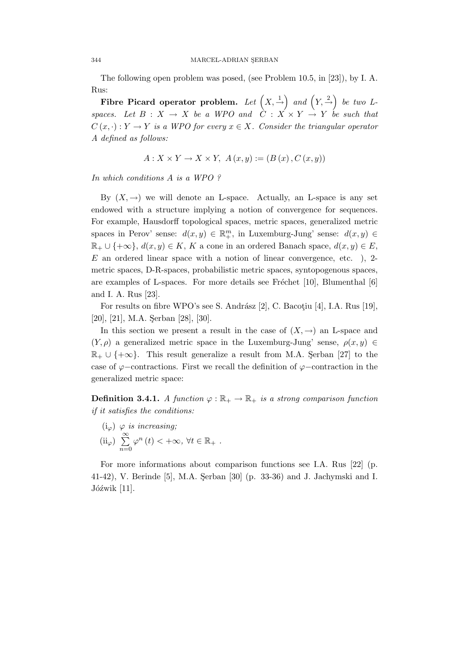The following open problem was posed, (see Problem 10.5, in [23]), by I. A. Rus:

Fibre Picard operator problem. Let  $(X, \stackrel{1}{\rightarrow})$  and  $(Y, \stackrel{2}{\rightarrow})$  be two Lspaces. Let  $B: X \to X$  be a WPO and  $C: X \times Y \to Y$  be such that  $C(x, \cdot): Y \to Y$  is a WPO for every  $x \in X$ . Consider the triangular operator A defined as follows:

$$
A: X \times Y \to X \times Y
$$
,  $A(x, y) := (B(x), C(x, y))$ 

In which conditions A is a WPO ?

By  $(X, \rightarrow)$  we will denote an L-space. Actually, an L-space is any set endowed with a structure implying a notion of convergence for sequences. For example, Hausdorff topological spaces, metric spaces, generalized metric spaces in Perov' sense:  $d(x, y) \in \mathbb{R}^m_+$ , in Luxemburg-Jung' sense:  $d(x, y) \in$  $\mathbb{R}_+ \cup \{\pm \infty\}, d(x, y) \in K, K$  a cone in an ordered Banach space,  $d(x, y) \in E$ , E an ordered linear space with a notion of linear convergence, etc. ), 2 metric spaces, D-R-spaces, probabilistic metric spaces, syntopogenous spaces, are examples of L-spaces. For more details see Fréchet  $[10]$ , Blumenthal  $[6]$ and I. A. Rus [23].

For results on fibre WPO's see S. Andrász [2], C. Bacotiu [4], I.A. Rus [19],  $[20]$ ,  $[21]$ , M.A. Serban  $[28]$ ,  $[30]$ .

In this section we present a result in the case of  $(X, \rightarrow)$  an L-space and  $(Y, \rho)$  a generalized metric space in the Luxemburg-Jung' sense,  $\rho(x, y) \in$  $\mathbb{R}_+ \cup \{+\infty\}$ . This result generalize a result from M.A. Serban [27] to the case of  $\varphi$ −contractions. First we recall the definition of  $\varphi$ −contraction in the generalized metric space:

**Definition 3.4.1.** A function  $\varphi : \mathbb{R}_+ \to \mathbb{R}_+$  is a strong comparison function if it satisfies the conditions:

 $(i_{\varphi})$   $\varphi$  is increasing;  $(ii_{\varphi}) \sum^{\infty}$  $n=0$  $\varphi^{n}(t) < +\infty, \forall t \in \mathbb{R}_{+}.$ 

For more informations about comparison functions see I.A. Rus [22] (p. 41-42), V. Berinde [5], M.A. Serban [30] (p. 33-36) and J. Jachymski and I.  $Jóźwik [11]$ .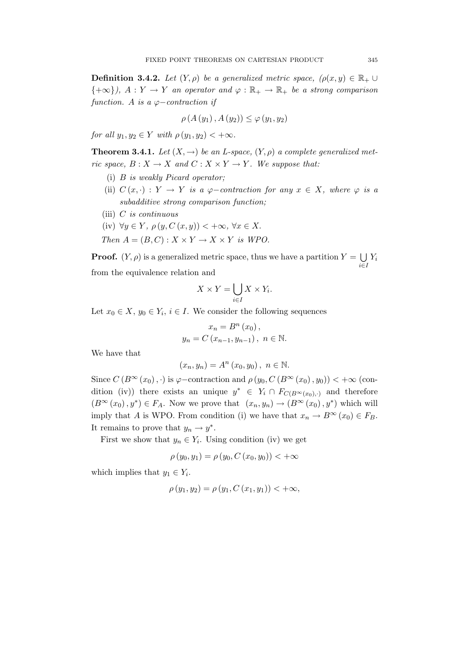**Definition 3.4.2.** Let  $(Y, \rho)$  be a generalized metric space,  $(\rho(x, y) \in \mathbb{R}_+ \cup$  ${+ \infty}$ ,  $A: Y \to Y$  an operator and  $\varphi: \mathbb{R}_+ \to \mathbb{R}_+$  be a strong comparison function. A is a  $\varphi$ -contraction if

$$
\rho(A(y_1), A(y_2)) \le \varphi(y_1, y_2)
$$

for all  $y_1, y_2 \in Y$  with  $\rho(y_1, y_2) < +\infty$ .

**Theorem 3.4.1.** Let  $(X, \rightarrow)$  be an L-space,  $(Y, \rho)$  a complete generalized metric space,  $B: X \to X$  and  $C: X \times Y \to Y$ . We suppose that:

- (i) B is weakly Picard operator;
- (ii)  $C(x, \cdot) : Y \to Y$  is a  $\varphi$ -contraction for any  $x \in X$ , where  $\varphi$  is a subadditive strong comparison function;
- (iii)  $C$  is continuous
- (iv)  $\forall y \in Y, \, \rho(y, C(x, y)) < +\infty, \, \forall x \in X.$
- Then  $A = (B, C) : X \times Y \to X \times Y$  is WPO.

**Proof.**  $(Y, \rho)$  is a generalized metric space, thus we have a partition  $Y = \bigcup Y_i$ i∈I from the equivalence relation and

$$
X \times Y = \bigcup_{i \in I} X \times Y_i.
$$

Let  $x_0 \in X$ ,  $y_0 \in Y_i$ ,  $i \in I$ . We consider the following sequences

$$
x_n = B^n (x_0),
$$
  

$$
y_n = C (x_{n-1}, y_{n-1}), \ n \in \mathbb{N}.
$$

We have that

$$
(x_n, y_n) = A^n(x_0, y_0), n \in \mathbb{N}.
$$

Since  $C(B^{\infty}(x_0), \cdot)$  is  $\varphi$ −contraction and  $\rho(y_0, C(B^{\infty}(x_0), y_0)) < +\infty$  (condition (iv)) there exists an unique  $y^* \in Y_i \cap F_{C(B^{\infty}(x_0),\cdot)}$  and therefore  $(B^{\infty}(x_0), y^*) \in F_A$ . Now we prove that  $(x_n, y_n) \to (B^{\infty}(x_0), y^*)$  which will imply that A is WPO. From condition (i) we have that  $x_n \to B^{\infty}(x_0) \in F_B$ . It remains to prove that  $y_n \to y^*$ .

First we show that  $y_n \in Y_i$ . Using condition (iv) we get

$$
\rho(y_0, y_1) = \rho(y_0, C(x_0, y_0)) < +\infty
$$

which implies that  $y_1 \in Y_i$ .

$$
\rho(y_1, y_2) = \rho(y_1, C(x_1, y_1)) < +\infty,
$$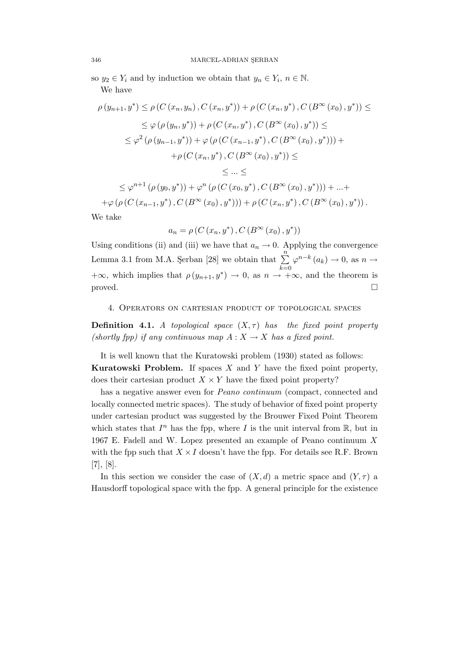so  $y_2 \in Y_i$  and by induction we obtain that  $y_n \in Y_i$ ,  $n \in \mathbb{N}$ . We have

$$
\rho(y_{n+1}, y^*) \le \rho(C(x_n, y_n), C(x_n, y^*)) + \rho(C(x_n, y^*), C(B^{\infty}(x_0), y^*)) \le
$$
  
\n
$$
\le \varphi(\rho(y_n, y^*)) + \rho(C(x_n, y^*), C(B^{\infty}(x_0), y^*)) \le
$$
  
\n
$$
\le \varphi^2(\rho(y_{n-1}, y^*)) + \varphi(\rho(C(x_{n-1}, y^*), C(B^{\infty}(x_0), y^*))) +
$$
  
\n
$$
+ \rho(C(x_n, y^*), C(B^{\infty}(x_0), y^*)) \le
$$
  
\n
$$
\le ... \le
$$

$$
\leq \varphi^{n+1}(\rho(y_0, y^*)) + \varphi^n(\rho(C(x_0, y^*), C(B^{\infty}(x_0), y^*))) + ... +
$$
  
+
$$
\varphi(\rho(C(x_{n-1}, y^*), C(B^{\infty}(x_0), y^*))) + \rho(C(x_n, y^*), C(B^{\infty}(x_0), y^*))
$$
.

We take

$$
a_n = \rho(C(x_n, y^*), C(B^{\infty}(x_0), y^*))
$$

Using conditions (ii) and (iii) we have that  $a_n \to 0$ . Applying the convergence Lemma 3.1 from M.A. Şerban [28] we obtain that  $\sum_{n=1}^{\infty}$  $k=0$  $\varphi^{n-k}(a_k) \to 0$ , as  $n \to$  $+\infty$ , which implies that  $\rho(y_{n+1}, y^*) \to 0$ , as  $n \to +\infty$ , and the theorem is proved.

4. Operators on cartesian product of topological spaces

**Definition 4.1.** A topological space  $(X, \tau)$  has the fixed point property (shortly fpp) if any continuous map  $A: X \to X$  has a fixed point.

It is well known that the Kuratowski problem (1930) stated as follows: **Kuratowski Problem.** If spaces  $X$  and  $Y$  have the fixed point property, does their cartesian product  $X \times Y$  have the fixed point property?

has a negative answer even for *Peano continuum* (compact, connected and locally connected metric spaces). The study of behavior of fixed point property under cartesian product was suggested by the Brouwer Fixed Point Theorem which states that  $I<sup>n</sup>$  has the fpp, where I is the unit interval from  $\mathbb{R}$ , but in 1967 E. Fadell and W. Lopez presented an example of Peano continuum X with the fpp such that  $X \times I$  doesn't have the fpp. For details see R.F. Brown [7], [8].

In this section we consider the case of  $(X, d)$  a metric space and  $(Y, \tau)$  a Hausdorff topological space with the fpp. A general principle for the existence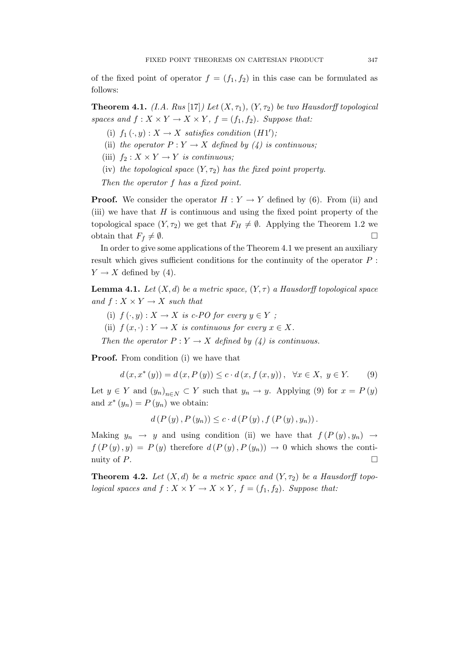of the fixed point of operator  $f = (f_1, f_2)$  in this case can be formulated as follows:

**Theorem 4.1.** (I.A. Rus [17]) Let  $(X, \tau_1)$ ,  $(Y, \tau_2)$  be two Hausdorff topological spaces and  $f: X \times Y \to X \times Y$ ,  $f = (f_1, f_2)$ . Suppose that:

- (i)  $f_1(\cdot, y) : X \to X$  satisfies condition  $(H1')$ ;
- (ii) the operator  $P: Y \to X$  defined by (4) is continuous;
- (iii)  $f_2: X \times Y \to Y$  is continuous;
- (iv) the topological space  $(Y, \tau_2)$  has the fixed point property.

Then the operator f has a fixed point.

**Proof.** We consider the operator  $H : Y \to Y$  defined by (6). From (ii) and (iii) we have that  $H$  is continuous and using the fixed point property of the topological space  $(Y, \tau_2)$  we get that  $F_H \neq \emptyset$ . Applying the Theorem 1.2 we obtain that  $F_f \neq \emptyset$ .

In order to give some applications of the Theorem 4.1 we present an auxiliary result which gives sufficient conditions for the continuity of the operator  $P$ :  $Y \rightarrow X$  defined by (4).

**Lemma 4.1.** Let  $(X, d)$  be a metric space,  $(Y, \tau)$  a Hausdorff topological space and  $f: X \times Y \rightarrow X$  such that

- (i)  $f(\cdot, y) : X \to X$  is c-PO for every  $y \in Y$ ;
- (ii)  $f(x, \cdot): Y \to X$  is continuous for every  $x \in X$ .

Then the operator  $P: Y \to X$  defined by (4) is continuous.

Proof. From condition (i) we have that

$$
d(x, x^*(y)) = d(x, P(y)) \le c \cdot d(x, f(x, y)), \forall x \in X, y \in Y.
$$
 (9)

Let  $y \in Y$  and  $(y_n)_{n \in N} \subset Y$  such that  $y_n \to y$ . Applying (9) for  $x = P(y)$ and  $x^*(y_n) = P(y_n)$  we obtain:

$$
d(P(y), P(y_n)) \leq c \cdot d(P(y), f(P(y), y_n)).
$$

Making  $y_n \to y$  and using condition (ii) we have that  $f(P(y), y_n) \to$  $f(P(y), y) = P(y)$  therefore  $d(P(y), P(y_n)) \to 0$  which shows the continuity of  $P$ .

**Theorem 4.2.** Let  $(X, d)$  be a metric space and  $(Y, \tau_2)$  be a Hausdorff topological spaces and  $f: X \times Y \to X \times Y$ ,  $f = (f_1, f_2)$ . Suppose that: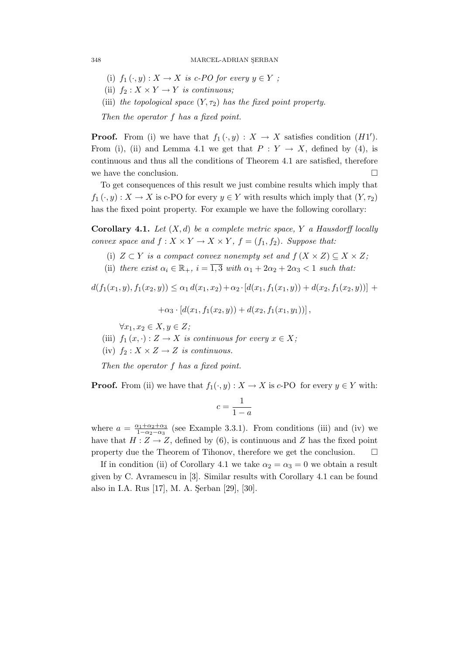- (i)  $f_1(\cdot, y) : X \to X$  is c-PO for every  $y \in Y$ ;
- (ii)  $f_2: X \times Y \to Y$  is continuous;
- (iii) the topological space  $(Y, \tau_2)$  has the fixed point property.

Then the operator f has a fixed point.

**Proof.** From (i) we have that  $f_1(\cdot, y) : X \to X$  satisfies condition  $(H1')$ . From (i), (ii) and Lemma 4.1 we get that  $P: Y \to X$ , defined by (4), is continuous and thus all the conditions of Theorem 4.1 are satisfied, therefore we have the conclusion.  $\Box$ 

To get consequences of this result we just combine results which imply that  $f_1(\cdot, y): X \to X$  is c-PO for every  $y \in Y$  with results which imply that  $(Y, \tau_2)$ has the fixed point property. For example we have the following corollary:

**Corollary 4.1.** Let  $(X,d)$  be a complete metric space, Y a Hausdorff locally convex space and  $f: X \times Y \to X \times Y$ ,  $f = (f_1, f_2)$ . Suppose that:

- (i)  $Z \subset Y$  is a compact convex nonempty set and  $f(X \times Z) \subseteq X \times Z$ ;
- (ii) there exist  $\alpha_i \in \mathbb{R}_+$ ,  $i = \overline{1,3}$  with  $\alpha_1 + 2\alpha_2 + 2\alpha_3 < 1$  such that:

 $d(f_1(x_1, y), f_1(x_2, y)) \leq \alpha_1 d(x_1, x_2) + \alpha_2 \cdot [d(x_1, f_1(x_1, y)) + d(x_2, f_1(x_2, y))]$  +

 $+\alpha_3 \cdot [d(x_1, f_1(x_2, y)) + d(x_2, f_1(x_1, y_1))],$ 

 $\forall x_1, x_2 \in X, y \in Z;$ 

- (iii)  $f_1(x, \cdot): Z \to X$  is continuous for every  $x \in X$ ;
- (iv)  $f_2: X \times Z \rightarrow Z$  is continuous.

Then the operator f has a fixed point.

**Proof.** From (ii) we have that  $f_1(\cdot, y) : X \to X$  is c-PO for every  $y \in Y$  with:

$$
c = \frac{1}{1 - a}
$$

where  $a = \frac{\alpha_1 + \alpha_2 + \alpha_3}{1 - \alpha_2 - \alpha_3}$  $\frac{\alpha_1 + \alpha_2 + \alpha_3}{1 - \alpha_2 - \alpha_3}$  (see Example 3.3.1). From conditions (iii) and (iv) we have that  $H: Z \to Z$ , defined by (6), is continuous and Z has the fixed point property due the Theorem of Tihonov, therefore we get the conclusion.  $\Box$ 

If in condition (ii) of Corollary 4.1 we take  $\alpha_2 = \alpha_3 = 0$  we obtain a result given by C. Avramescu in [3]. Similar results with Corollary 4.1 can be found also in I.A. Rus [17], M. A. Şerban [29], [30].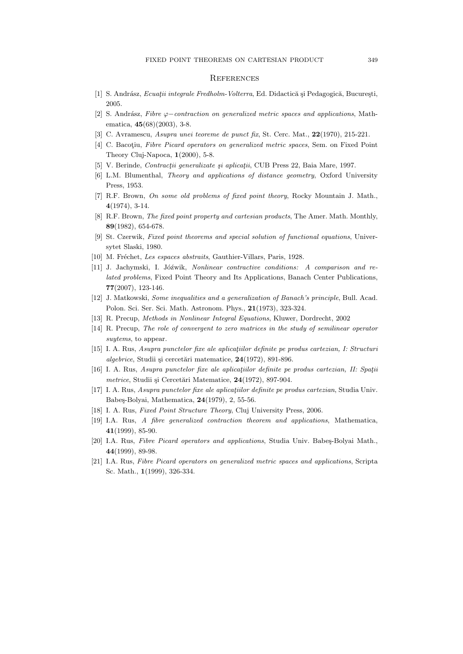#### **REFERENCES**

- [1] S. Andrász, *Ecuatii integrale Fredholm-Volterra*, Ed. Didactică și Pedagogică, București, 2005.
- [2] S. Andrász, Fibre  $\varphi$ −contraction on generalized metric spaces and applications, Mathematica, 45(68)(2003), 3-8.
- [3] C. Avramescu, Asupra unei teoreme de punct fix, St. Cerc. Mat., 22(1970), 215-221.
- [4] C. Bacotiu, Fibre Picard operators on generalized metric spaces, Sem. on Fixed Point Theory Cluj-Napoca,  $1(2000)$ , 5-8.
- [5] V. Berinde, Contracții generalizate și aplicații, CUB Press 22, Baia Mare, 1997.
- [6] L.M. Blumenthal, Theory and applications of distance geometry, Oxford University Press, 1953.
- [7] R.F. Brown, On some old problems of fixed point theory, Rocky Mountain J. Math., 4(1974), 3-14.
- [8] R.F. Brown, *The fixed point property and cartesian products*, The Amer. Math. Monthly, 89(1982), 654-678.
- [9] St. Czerwik, Fixed point theorems and special solution of functional equations, Universytet Slaski, 1980.
- [10] M. Fréchet, Les espaces abstraits, Gauthier-Villars, Paris, 1928.
- [11] J. Jachymski, I. Jóźwik, Nonlinear contractive conditions: A comparison and related problems, Fixed Point Theory and Its Applications, Banach Center Publications, 77(2007), 123-146.
- [12] J. Matkowski, Some inequalities and a generalization of Banach's principle, Bull. Acad. Polon. Sci. Ser. Sci. Math. Astronom. Phys., 21(1973), 323-324.
- [13] R. Precup, Methods in Nonlinear Integral Equations, Kluwer, Dordrecht, 2002
- [14] R. Precup, The role of convergent to zero matrices in the study of semilinear operator suytems, to appear.
- $[15]$  I. A. Rus, Asupra punctelor fixe ale aplicatiilor definite pe produs cartezian, I: Structuri  $algebraic$ , Studii și cercetări matematice,  $24(1972)$ , 891-896.
- [16] I. A. Rus, Asupra punctelor fixe ale aplicatiilor definite pe produs cartezian, II: Spatii metrice, Studii și Cercetări Matematice, 24(1972), 897-904.
- [17] I. A. Rus, *Asupra punctelor fixe ale aplicatiilor definite pe produs cartezian*, Studia Univ. Babeş-Bolyai, Mathematica, 24(1979), 2, 55-56.
- [18] I. A. Rus, Fixed Point Structure Theory, Cluj University Press, 2006.
- [19] I.A. Rus, A fibre generalized contraction theorem and applications, Mathematica,  $41(1999)$ , 85-90.
- [20] I.A. Rus, Fibre Picard operators and applications, Studia Univ. Babeş-Bolyai Math., 44(1999), 89-98.
- [21] I.A. Rus, Fibre Picard operators on generalized metric spaces and applications, Scripta Sc. Math., 1(1999), 326-334.